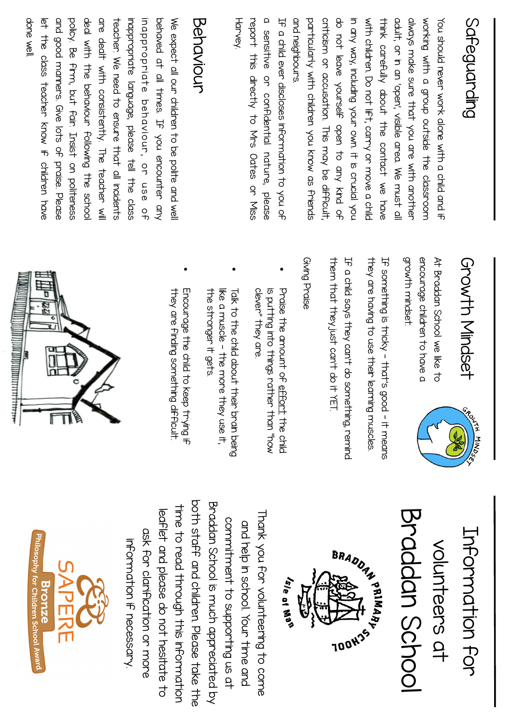## Safeguarding Safeguarding

and neighbours particularly with children you know as friends corricion or according This share of anticianal do not leave yourself open to any kind of in any way, including your own. It is crucial you With children. Do rot ift, carry or move a child ullation and open, visible and the unit of the condition of divays make sure that you are with another working with a group outside the classroom and neighbours. particularly with children you know as friends criticism or accusation. This may be difficult, do not leave yourself open to any kind of in any way, including your own. it is crucial you With children. Do not ift, carry or move a child think carefully apoct the contact we have think carefully about the contact we have adult, or in an 'open', visible area. We must all always make sure that you are with another working with a group outside the classroom You should never work dlone with a child and if You should never work alone with a child and if

Harvey. report this directly to Mrs Odtes or Miss a sensitive or confidential nature, please report this directly to Mrs Oates or Miss a sensitive or confidential nature, please He a child ever discloses information to you of If a child ever discloses information to you of

#### Behaviour Behaviour

done wel and good manners. Give lots of praise. Please policy. Be firm, put fair. Irsist on politeness inappropriate language, please tell the class behaved at all times. If you encounter any We expect all our children to be polite and well done well. let the class teacher Know if children have let the class teacher Know if children have and good manners. Give lots of praise. Please policy. Be firm, but fair. Insist on politeness deal with the behaviour following the schoo deal with the behaviour following the school are dealt with consistently. The teacher will are dealt with consistently. The teacher will teacher. We reed to ensure that all inclations teacher. We need to ensure that all incidents inappropriate language, please tell the class i n a p p r o p r i a t e b e h av i o u r , obehaved at all times. If you encounter any We expect all our children to be polite and well r ase o  $\mathcal{L}$ 

## Growth Mindset Growth Mindset

**PONIN HINDSS** 

growth mindset encounage children to have a At Braddan School we like to growth mindset. encourage children to have a At Braddan School we like to

they are having to use their learning muscles. He something is tricky - that's good - it means they are having to use their learning muscles. If something is tricky - that's good - it means

therm that they just can't do it YET IF a child says they can't do something, remind them that they just can't do it YET. If a child says they can't do something, remind

#### Giving Praise Giving Praise

•

- Praise the amount of effort the child clever" they are is dritting into things rather than "pos Praise the arrocht of effort the child clever" they are is putting into things rather than "how
- Talk to the child about their brain being the stronger it gets We a muscle – the mode they use it. like a muscle - the more they use it, Lalk to the child apoct their prain peing .

•

Encourage the child to keep trying if Encourage the child to keep trying in they are finaling sorrething alfification they are finding something difficult.

•







pott staff and children. Dease take the both staff and children. Please take the Bradan School is much appreciated by Braddan School is much appreciated by time to read through this information time to read through this information leaflet and please do not hesitate to leaflet and please do not hesitate to Thank you to the whippering to come Thank you for volunteering to come commitment to supporting us at commitment to supporting us at drap in school. Your time and and help in school. Your time and ask for clarification or more ask for clarification or more information if necessary information if necessary.